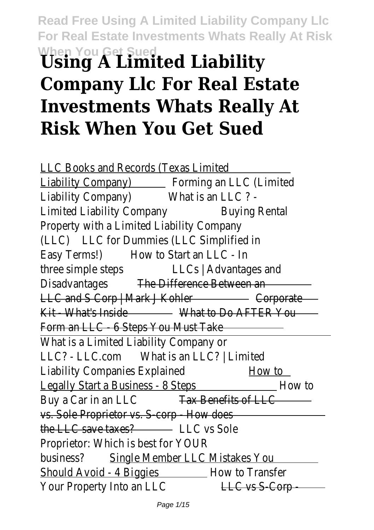# **When You Get Sued Using A Limited Liability Company Llc For Real Estate Investments Whats Really At Risk When You Get Sued**

LLC Books and Records (Texas Limited Liability Company) \_\_\_ Forming an LLC (Limited Liability Company) What is an LLC ? - Limited Liability Company Buying Rental Property with a Limited Liability Company (LLC) LLC for Dummies (LLC Simplified in Easy Terms!) How to Start an LLC - In three simple steps LLCs | Advantages and Disadvantages The Difference Between an LLC and S Corp | Mark J Kohler Corporate Kit - What's Inside What to Do AFTER You Form an LLC - 6 Steps You Must Take What is a Limited Liability Company or LLC? - LLC.com What is an LLC? | Limited Liability Companies Explained How to Legally Start a Business - 8 Steps How to Buy a Car in an LLC Tax Benefits of LLC vs. Sole Proprietor vs. S-corp - How does the LLC save taxes? - LLC vs Sole Proprietor: Which is best for YOUR business? Single Member LLC Mistakes You Should Avoid - 4 Biggies \_\_\_\_\_ How to Transfer Your Property Into an LLC LLC vs S-Corp -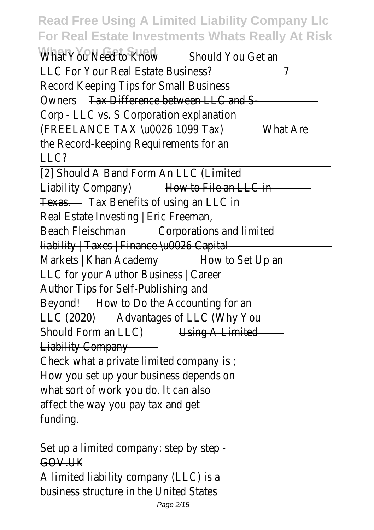What You Need to Know - Should You Get an LLC For Your Real Estate Business? 7 Record Keeping Tips for Small Business Owners Tax Difference between LLC and S-Corp - LLC vs. S Corporation explanation (FREELANCE TAX \u0026 1099 Tax) What Are the Record-keeping Requirements for an  $11C$ ?

[2] Should A Band Form An LLC (Limited Liability Company) How to File an LLC in-Texas. Tax Benefits of using an LLC in Real Estate Investing | Eric Freeman, Beach Fleischman 
Gerporations and limited liability | Taxes | Finance \u0026 Capital Markets | Khan Academy – How to Set Up an LLC for your Author Business | Career Author Tips for Self-Publishing and Beyond! How to Do the Accounting for an LLC (2020) Advantages of LLC (Why You Should Form an LLC) Using A Limited Liability Company

Check what a private limited company is ; How you set up your business depends on what sort of work you do. It can also affect the way you pay tax and get funding.

Set up a limited company: step by step GOV.UK

A limited liability company (LLC) is a business structure in the United States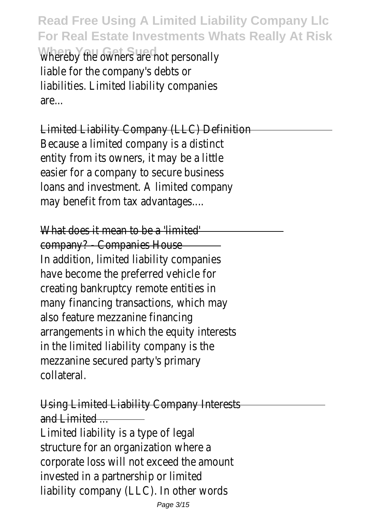Whereby the owners are not personally liable for the company's debts or liabilities. Limited liability companies are

Limited Liability Company (LLC) Definition Because a limited company is a distinct entity from its owners, it may be a little easier for a company to secure business loans and investment. A limited company may benefit from tax advantages....

What does it mean to be a 'limited' company? - Companies House In addition, limited liability companies have become the preferred vehicle for creating bankruptcy remote entities in many financing transactions, which may also feature mezzanine financing arrangements in which the equity interests in the limited liability company is the mezzanine secured party's primary collateral.

Using Limited Liability Company Interests and Limited Limited liability is a type of legal structure for an organization where a corporate loss will not exceed the amount invested in a partnership or limited liability company (LLC). In other words

Page 3/15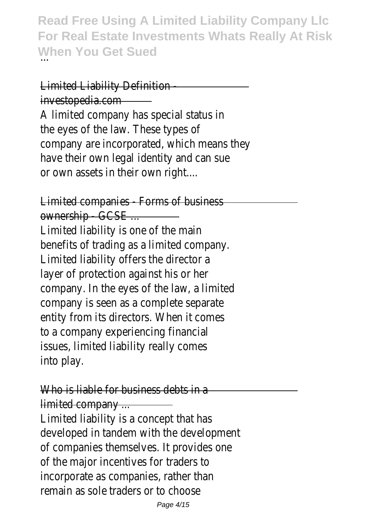Limited Liability Definition investopedia.com

A limited company has special status in the eyes of the law. These types of company are incorporated, which means they have their own legal identity and can sue or own assets in their own right....

Limited companies - Forms of business ownership - GCSE ... Limited liability is one of the main benefits of trading as a limited company. Limited liability offers the director a layer of protection against his or her company. In the eyes of the law, a limited company is seen as a complete separate entity from its directors. When it comes to a company experiencing financial issues, limited liability really comes into play.

Who is liable for business debts in a limited company ...

Limited liability is a concept that has developed in tandem with the development of companies themselves. It provides one of the major incentives for traders to incorporate as companies, rather than remain as sole traders or to choose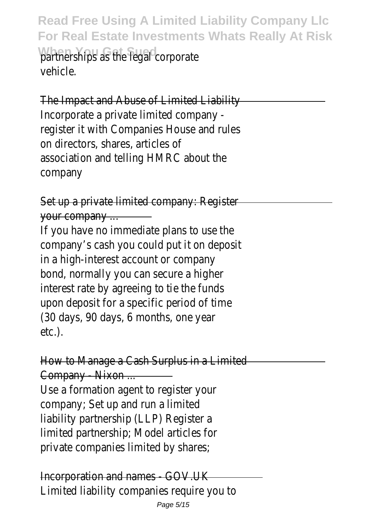**Read Free Using A Limited Liability Company Llc For Real Estate Investments Whats Really At Risk** partnerships as the legal corporate vehicle.

The Impact and Abuse of Limited Liability Incorporate a private limited company register it with Companies House and rules on directors, shares, articles of association and telling HMRC about the company

Set up a private limited company: Register your company ...

If you have no immediate plans to use the company's cash you could put it on deposit in a high-interest account or company bond, normally you can secure a higher interest rate by agreeing to tie the funds upon deposit for a specific period of time (30 days, 90 days, 6 months, one year etc.).

How to Manage a Cash Surplus in a Limited Company - Nixon ...

Use a formation agent to register your company; Set up and run a limited liability partnership (LLP) Register a limited partnership; Model articles for private companies limited by shares;

Incorporation and names - GOV.UK Limited liability companies require you to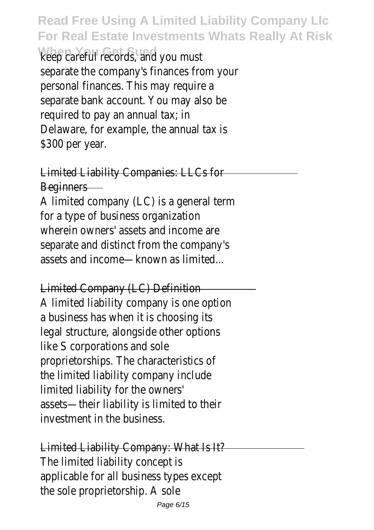**When You Get Sued** keep careful records, and you must separate the company's finances from your personal finances. This may require a separate bank account. You may also be required to pay an annual tax; in Delaware, for example, the annual tax is \$300 per year.

#### Limited Liability Companies: LLCs for Beginners

A limited company (LC) is a general term for a type of business organization wherein owners' assets and income are separate and distinct from the company's assets and income—known as limited...

Limited Company (LC) Definition A limited liability company is one option a business has when it is choosing its legal structure, alongside other options like S corporations and sole proprietorships. The characteristics of the limited liability company include limited liability for the owners' assets—their liability is limited to their investment in the business.

Limited Liability Company: What Is It? The limited liability concept is applicable for all business types except the sole proprietorship. A sole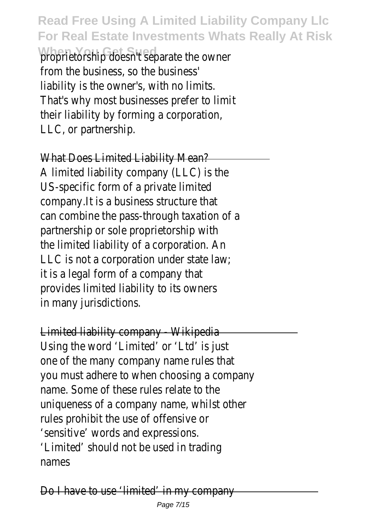proprietorship doesn't separate the owner from the business, so the business' liability is the owner's, with no limits. That's why most businesses prefer to limit their liability by forming a corporation, LLC, or partnership.

What Does Limited Liability Mean? A limited liability company (LLC) is the US-specific form of a private limited company.It is a business structure that can combine the pass-through taxation of a partnership or sole proprietorship with the limited liability of a corporation. An LLC is not a corporation under state law; it is a legal form of a company that provides limited liability to its owners in many jurisdictions.

Limited liability company - Wikipedia Using the word 'Limited' or 'Ltd' is just one of the many company name rules that you must adhere to when choosing a company name. Some of these rules relate to the uniqueness of a company name, whilst other rules prohibit the use of offensive or 'sensitive' words and expressions. 'Limited' should not be used in trading names

Do I have to use 'limited' in my company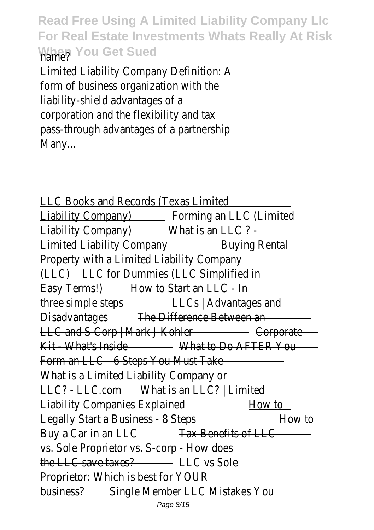Limited Liability Company Definition: A form of business organization with the liability-shield advantages of a corporation and the flexibility and tax pass-through advantages of a partnership Many...

LLC Books and Records (Texas Limited Liability Company) Forming an LLC (Limited Liability Company) What is an LLC ? - Limited Liability Company Buying Rental Property with a Limited Liability Company (LLC) LLC for Dummies (LLC Simplified in Easy Terms!) How to Start an LLC - In three simple steps LLCs | Advantages and Disadvantages The Difference Between an LLC and S Corp | Mark J Kohler Corporate Kit - What's Inside What to Do AFTER You Form an LLC - 6 Steps You Must Take What is a Limited Liability Company or LLC? - LLC.com What is an LLC? | Limited Liability Companies Explained How to Legally Start a Business - 8 Steps How to Buy a Car in an LLC Tax Benefits of LLC vs. Sole Proprietor vs. S-corp - How does the LLC save taxes? - LLC vs Sole Proprietor: Which is best for YOUR business? Single Member LLC Mistakes You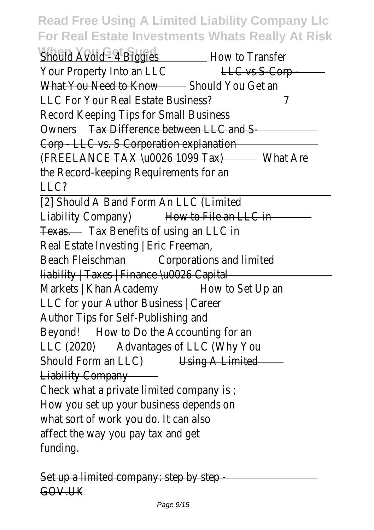**Should Avoid <sup>et</sup>4 Biggies** How to Transfer Your Property Into an LLC LLC vs S-Corp -What You Need to Know - Should You Get an LLC For Your Real Estate Business? 2 Record Keeping Tips for Small Business Owners Tax Difference between LLC and S-Corp - LLC vs. S Corporation explanation (FREELANCE TAX \u0026 1099 Tax) What Are the Record-keeping Requirements for an  $11C?$ 

[2] Should A Band Form An LLC (Limited Liability Company) How to File an LLC in Texas. Tax Benefits of using an LLC in Real Estate Investing | Eric Freeman, Beach Fleischman Corporations and limited liability | Taxes | Finance \u0026 Capital Markets | Khan Academy – How to Set Up an LLC for your Author Business | Career Author Tips for Self-Publishing and Beyond! How to Do the Accounting for an LLC (2020) Advantages of LLC (Why You Should Form an LLC) Using A Limited Liability Company Check what a private limited company is ; How you set up your business depends on what sort of work you do. It can also affect the way you pay tax and get funding.

Set up a limited company: step by step GOV.UK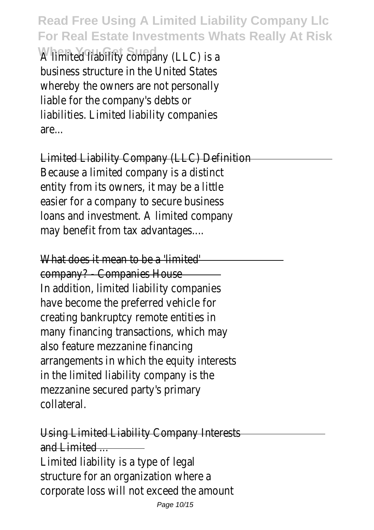**When You Get Sued** A limited liability company (LLC) is a business structure in the United States whereby the owners are not personally liable for the company's debts or liabilities. Limited liability companies are...

Limited Liability Company (LLC) Definition Because a limited company is a distinct entity from its owners, it may be a little easier for a company to secure business loans and investment. A limited company may benefit from tax advantages....

What does it mean to be a 'limited' company? - Companies House In addition, limited liability companies have become the preferred vehicle for creating bankruptcy remote entities in many financing transactions, which may also feature mezzanine financing arrangements in which the equity interests in the limited liability company is the mezzanine secured party's primary collateral.

Using Limited Liability Company Interests and Limited ... Limited liability is a type of legal structure for an organization where a corporate loss will not exceed the amount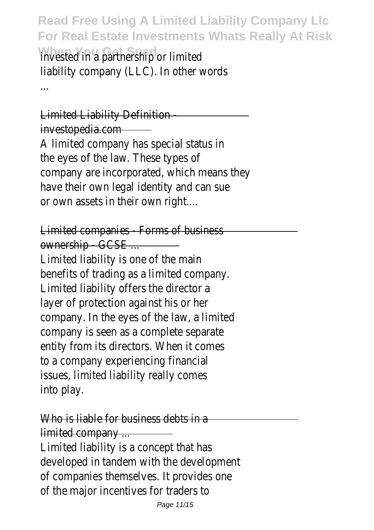**Read Free Using A Limited Liability Company Llc For Real Estate Investments Whats Really At Risk When You Get Sued** invested in a partnership or limited liability company (LLC). In other words

...

Limited Liability Definition investopedia.com

A limited company has special status in the eyes of the law. These types of company are incorporated, which means they have their own legal identity and can sue or own assets in their own right....

Limited companies - Forms of business ownership - GCSE ...

Limited liability is one of the main benefits of trading as a limited company. Limited liability offers the director a layer of protection against his or her company. In the eyes of the law, a limited company is seen as a complete separate entity from its directors. When it comes to a company experiencing financial issues, limited liability really comes into play.

Who is liable for business debts in a limited company ... Limited liability is a concept that has developed in tandem with the development of companies themselves. It provides one of the major incentives for traders to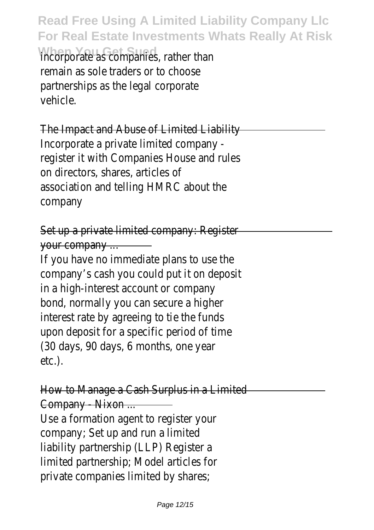**Incorporate as companies, rather than** remain as sole traders or to choose partnerships as the legal corporate vehicle.

The Impact and Abuse of Limited Liability Incorporate a private limited company register it with Companies House and rules on directors, shares, articles of association and telling HMRC about the company

Set up a private limited company: Register your company ...

If you have no immediate plans to use the company's cash you could put it on deposit in a high-interest account or company bond, normally you can secure a higher interest rate by agreeing to tie the funds upon deposit for a specific period of time (30 days, 90 days, 6 months, one year etc.).

How to Manage a Cash Surplus in a Limited Company - Nixon ... Use a formation agent to register your company; Set up and run a limited liability partnership (LLP) Register a limited partnership; Model articles for private companies limited by shares;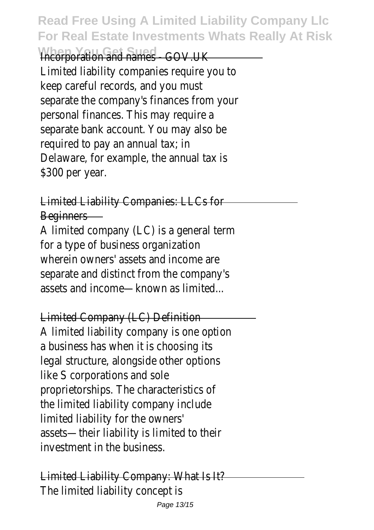**Wheelporation and names - GOV.UK** Limited liability companies require you to keep careful records, and you must separate the company's finances from your personal finances. This may require a separate bank account. You may also be required to pay an annual tax; in Delaware, for example, the annual tax is \$300 per year.

#### Limited Liability Companies: LLCs for Beginners

A limited company (LC) is a general term for a type of business organization wherein owners' assets and income are separate and distinct from the company's assets and income—known as limited...

Limited Company (LC) Definition A limited liability company is one option a business has when it is choosing its legal structure, alongside other options like S corporations and sole proprietorships. The characteristics of the limited liability company include limited liability for the owners' assets—their liability is limited to their investment in the business.

Limited Liability Company: What Is It? The limited liability concept is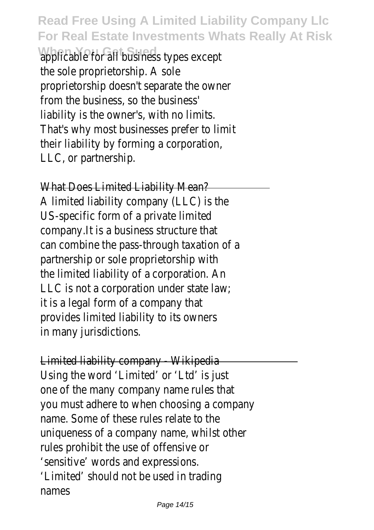applicable for all business types except the sole proprietorship. A sole proprietorship doesn't separate the owner from the business, so the business' liability is the owner's, with no limits. That's why most businesses prefer to limit their liability by forming a corporation, LLC, or partnership.

What Does Limited Liability Mean? A limited liability company (LLC) is the US-specific form of a private limited company.It is a business structure that can combine the pass-through taxation of a partnership or sole proprietorship with the limited liability of a corporation. An LLC is not a corporation under state law; it is a legal form of a company that provides limited liability to its owners in many jurisdictions.

Limited liability company - Wikipedia Using the word 'Limited' or 'Ltd' is just one of the many company name rules that you must adhere to when choosing a company name. Some of these rules relate to the uniqueness of a company name, whilst other rules prohibit the use of offensive or 'sensitive' words and expressions. 'Limited' should not be used in trading names